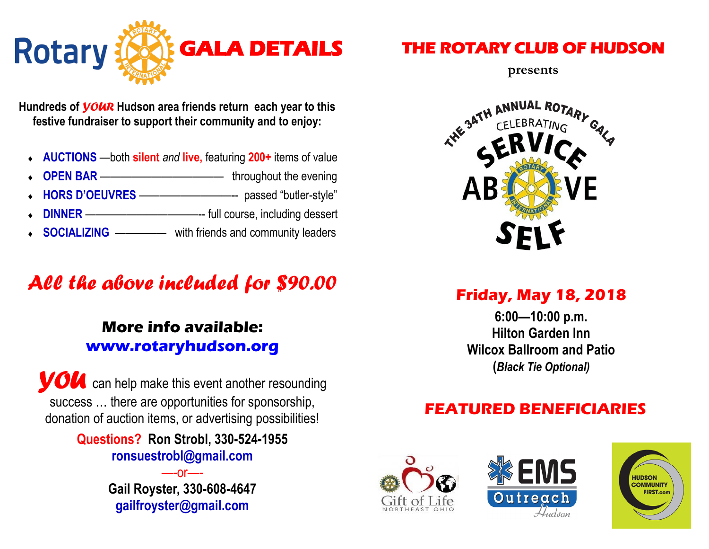

**Hundreds of** *VOUR* **Hudson area friends return each year to this festive fundraiser to support their community and to enjoy:**

- **AUCTIONS** —both **silent** *and* **live,** featuring **200+** items of value
- **OPEN BAR** ———————————— throughout the evening
- **HORS D'OEUVRES** —————————-- passed "butler-style"
- **DINNER** ———————————-- full course, including dessert
- **SOCIALIZING** —————with friends and community leaders

# *All the above included for \$90.00*

### **More info available: www.rotaryhudson.org**

*Y* can help make this event another resounding success … there are opportunities for sponsorship, donation of auction items, or advertising possibilities!

> **Questions? Ron Strobl, 330-524-1955 ronsuestrobl@gmail.com**

> > —-or—- **Gail Royster, 330-608-4647 gailfroyster@gmail.com**

### **THE ROTARY CLUB OF HUDSON**

**presents**



**Friday, May 18, 2018**

**6:00—10:00 p.m. Hilton Garden Inn Wilcox Ballroom and Patio (***Black Tie Optional)*

#### **FEATURED BENEFICIARIES**